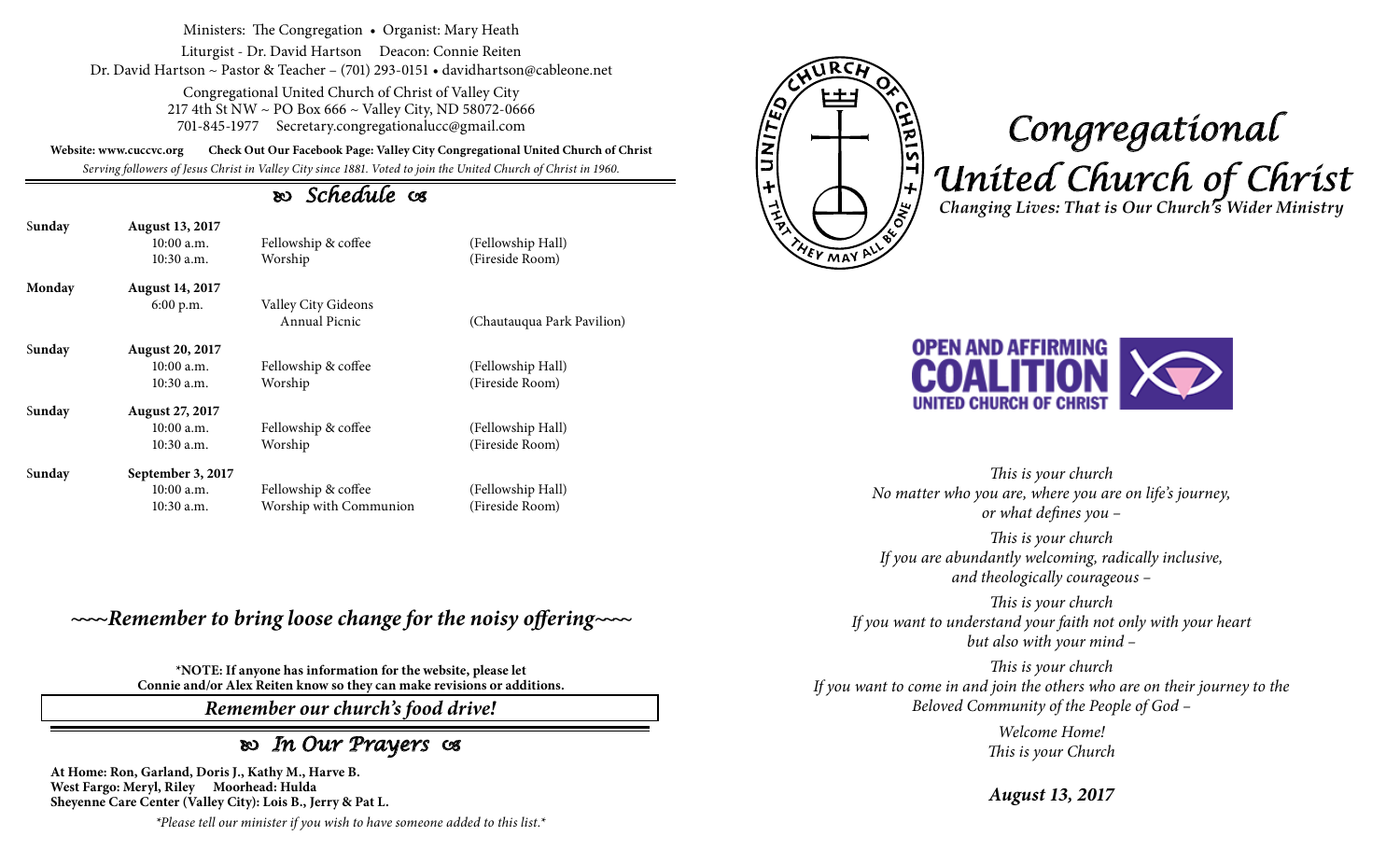Ministers: The Congregation • Organist: Mary Heath

Liturgist - Dr. David Hartson Deacon: Connie Reiten Dr. David Hartson ~ Pastor & Teacher – (701) 293-0151 • davidhartson@cableone.net

> Congregational United Church of Christ of Valley City 217 4th St NW ~ PO Box 666 ~ Valley City, ND 58072-0666 701-845-1977 Secretary.congregationalucc@gmail.com

**Website: www.cuccvc.org Check Out Our Facebook Page: Valley City Congregational United Church of Christ**

*Serving followers of Jesus Christ in Valley City since 1881. Voted to join the United Church of Christ in 1960.*

## *Schedule*

| Sunday | <b>August 13, 2017</b><br>$10:00$ a.m.<br>$10:30$ a.m. | Fellowship & coffee<br>Worship | (Fellowship Hall)<br>(Fireside Room) |
|--------|--------------------------------------------------------|--------------------------------|--------------------------------------|
| Monday | <b>August 14, 2017</b>                                 |                                |                                      |
|        | 6:00 p.m.                                              | Valley City Gideons            |                                      |
|        |                                                        | Annual Picnic                  | (Chautauqua Park Pavilion)           |
| Sunday | <b>August 20, 2017</b>                                 |                                |                                      |
|        | $10:00$ a.m.                                           | Fellowship & coffee            | (Fellowship Hall)                    |
|        | 10:30 a.m.                                             | Worship                        | (Fireside Room)                      |
| Sunday | <b>August 27, 2017</b>                                 |                                |                                      |
|        | $10:00$ a.m.                                           | Fellowship & coffee            | (Fellowship Hall)                    |
|        | $10:30$ a.m.                                           | Worship                        | (Fireside Room)                      |
| Sunday | September 3, 2017                                      |                                |                                      |
|        | $10:00$ a.m.                                           | Fellowship & coffee            | (Fellowship Hall)                    |
|        | 10:30 a.m.                                             | Worship with Communion         | (Fireside Room)                      |

## *~~~~Remember to bring loose change for the noisy offering~~~~*

**\*NOTE: If anyone has information for the website, please let Connie and/or Alex Reiten know so they can make revisions or additions.**

*Remember our church's food drive!*

## *In Our Prayers*

**At Home: Ron, Garland, Doris J., Kathy M., Harve B. West Fargo: Meryl, Riley Moorhead: Hulda Sheyenne Care Center (Valley City): Lois B., Jerry & Pat L.**

*\*Please tell our minister if you wish to have someone added to this list.\**



## *Congregational United Church of Christ Changing Lives: That is Our Church's Wider Ministry*



*This is your church No matter who you are, where you are on life's journey, or what defines you –*

*This is your church If you are abundantly welcoming, radically inclusive, and theologically courageous –*

*This is your church If you want to understand your faith not only with your heart but also with your mind –*

*This is your church If you want to come in and join the others who are on their journey to the Beloved Community of the People of God –*

> *Welcome Home! This is your Church*

*August 13, 2017*